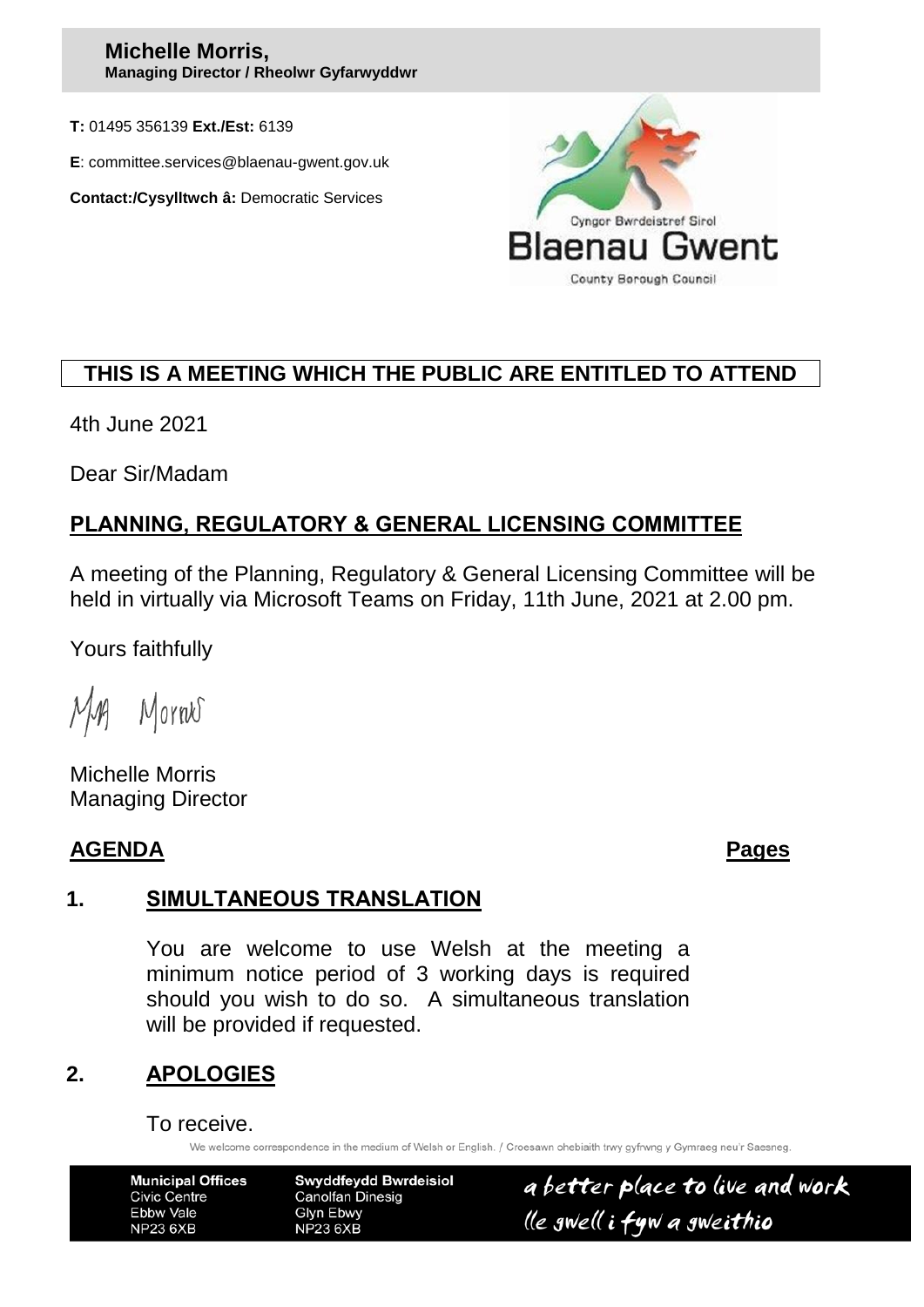#### **Michelle Morris, Managing Director / Rheolwr Gyfarwyddwr**

**T:** 01495 356139 **Ext./Est:** 6139

**E**: committee.services@blaenau-gwent.gov.uk

**Contact:/Cysylltwch â:** Democratic Services



# **THIS IS A MEETING WHICH THE PUBLIC ARE ENTITLED TO ATTEND**

4th June 2021

Dear Sir/Madam

# **PLANNING, REGULATORY & GENERAL LICENSING COMMITTEE**

A meeting of the Planning, Regulatory & General Licensing Committee will be held in virtually via Microsoft Teams on Friday, 11th June, 2021 at 2.00 pm.

Yours faithfully

Mornes

Michelle Morris Managing Director

#### **AGENDA Pages**

## **1. SIMULTANEOUS TRANSLATION**

You are welcome to use Welsh at the meeting a minimum notice period of 3 working days is required should you wish to do so. A simultaneous translation will be provided if requested.

## **2. APOLOGIES**

To receive.

We welcome correspondence in the medium of Welsh or English. / Croesawn ohebiaith trwy gyfrwng y Gymraeg neu'r Saesneg

| <b>Municipal Offices</b> |
|--------------------------|
| Civic Centre             |
| Ebbw Vale                |
| <b>NP23 6XB</b>          |

Swyddfeydd Bwrdeisiol **Canolfan Dinesig** Glyn Ebwy **NP23 6XB** 

a better place to live and work lle gwell i fyw a gweithio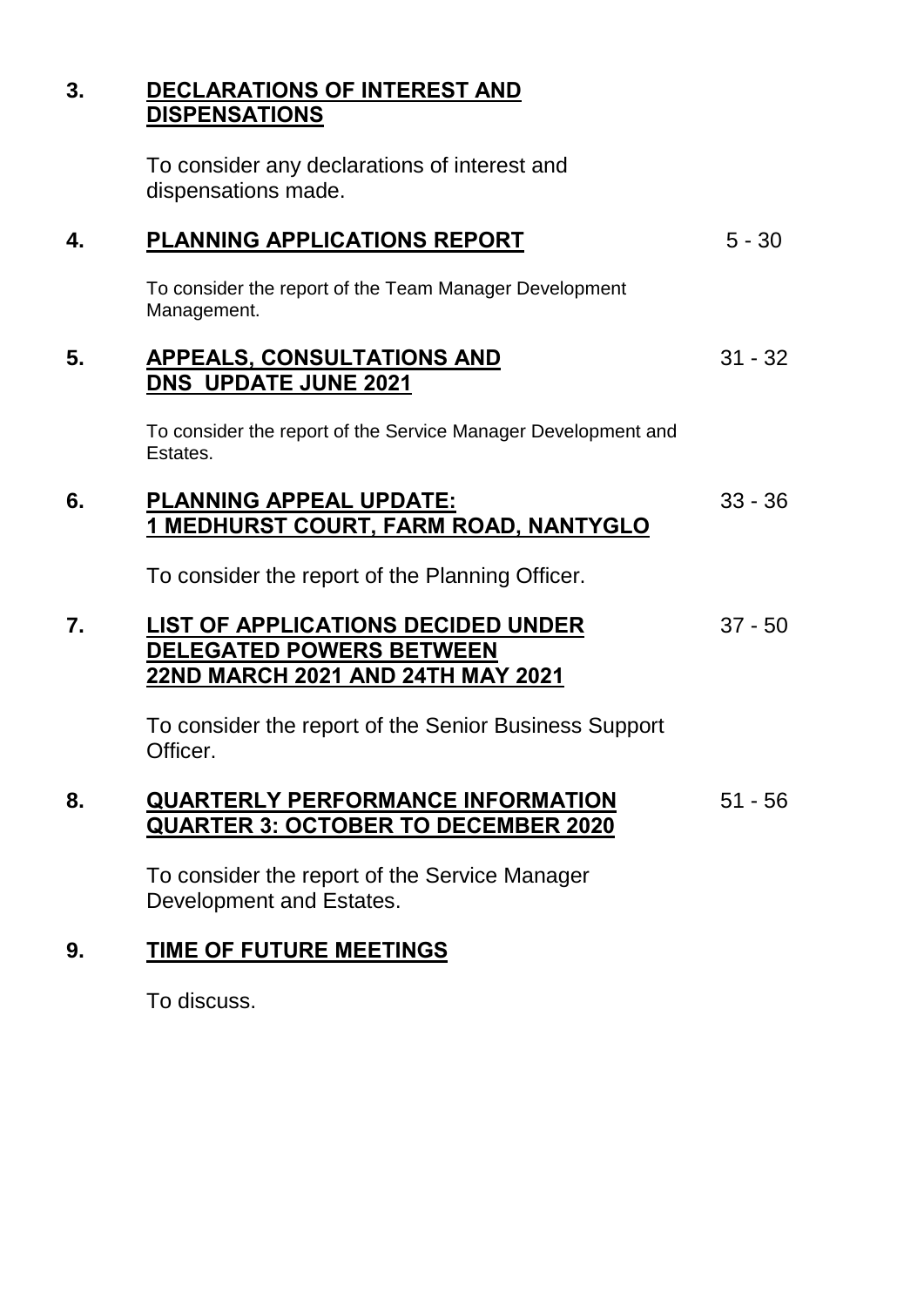## **3. DECLARATIONS OF INTEREST AND DISPENSATIONS**

To consider any declarations of interest and dispensations made.

| 4. | PLANNING APPLICATIONS REPORT                                                                                      | $5 - 30$  |
|----|-------------------------------------------------------------------------------------------------------------------|-----------|
|    | To consider the report of the Team Manager Development<br>Management.                                             |           |
| 5. | <b>APPEALS, CONSULTATIONS AND</b><br><b>DNS UPDATE JUNE 2021</b>                                                  | $31 - 32$ |
|    | To consider the report of the Service Manager Development and<br>Estates.                                         |           |
| 6. | <b>PLANNING APPEAL UPDATE:</b><br><u>1 MEDHURST COURT, FARM ROAD, NANTYGLO</u>                                    | $33 - 36$ |
|    | To consider the report of the Planning Officer.                                                                   |           |
| 7. | <b>LIST OF APPLICATIONS DECIDED UNDER</b><br><b>DELEGATED POWERS BETWEEN</b><br>22ND MARCH 2021 AND 24TH MAY 2021 | $37 - 50$ |
|    | To consider the report of the Senior Business Support<br>Officer.                                                 |           |
| 8. | <b>QUARTERLY PERFORMANCE INFORMATION</b><br><b>QUARTER 3: OCTOBER TO DECEMBER 2020</b>                            | $51 - 56$ |
|    | To consider the report of the Service Manager<br>Development and Estates.                                         |           |

# **9. TIME OF FUTURE MEETINGS**

To discuss.